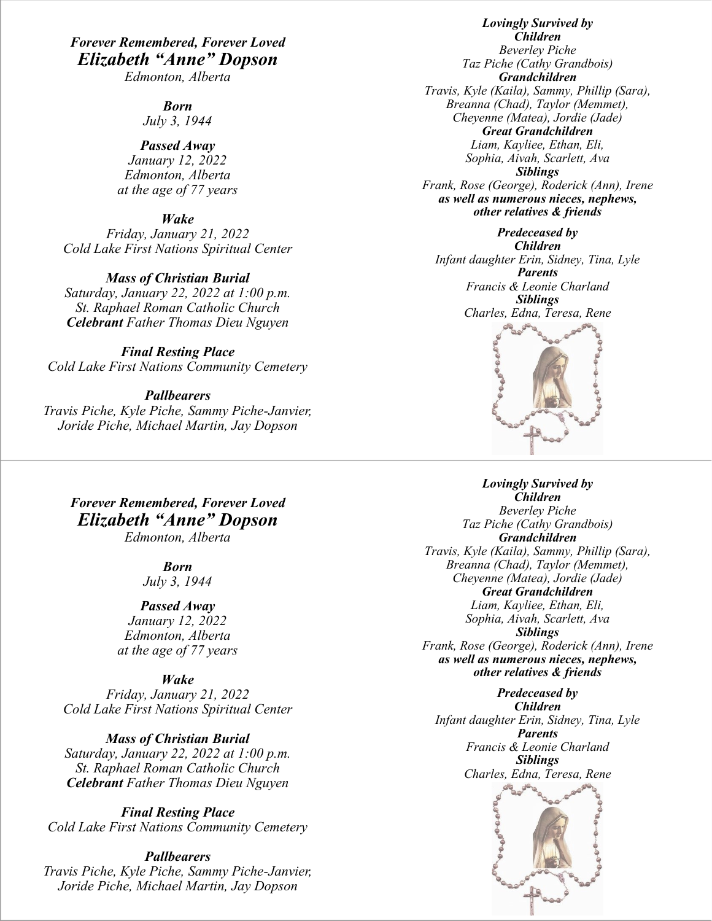## *Forever Remembered, Forever Loved Elizabeth "Anne" Dopson*

*Edmonton, Alberta* 

*Born*

*July 3, 1944*

*Passed Away January 12, 2022 Edmonton, Alberta at the age of 77 years*

*Wake*

*Friday, January 21, 2022 Cold Lake First Nations Spiritual Center*

*Mass of Christian Burial Saturday, January 22, 2022 at 1:00 p.m. St. Raphael Roman Catholic Church Celebrant Father Thomas Dieu Nguyen*

*Final Resting Place Cold Lake First Nations Community Cemetery*

*Pallbearers Travis Piche, Kyle Piche, Sammy Piche-Janvier, Joride Piche, Michael Martin, Jay Dopson* 

*Forever Remembered, Forever Loved Elizabeth "Anne" Dopson Edmonton, Alberta* 

> *Born July 3, 1944*

*Passed Away January 12, 2022 Edmonton, Alberta at the age of 77 years*

*Wake*

*Friday, January 21, 2022 Cold Lake First Nations Spiritual Center*

*Mass of Christian Burial Saturday, January 22, 2022 at 1:00 p.m. St. Raphael Roman Catholic Church Celebrant Father Thomas Dieu Nguyen*

*Final Resting Place Cold Lake First Nations Community Cemetery*

*Pallbearers Travis Piche, Kyle Piche, Sammy Piche-Janvier, Joride Piche, Michael Martin, Jay Dopson* 

*Lovingly Survived by Children Beverley Piche Taz Piche (Cathy Grandbois) Grandchildren Travis, Kyle (Kaila), Sammy, Phillip (Sara), Breanna (Chad), Taylor (Memmet), Cheyenne (Matea), Jordie (Jade) Great Grandchildren Liam, Kayliee, Ethan, Eli, Sophia, Aivah, Scarlett, Ava Siblings Frank, Rose (George), Roderick (Ann), Irene as well as numerous nieces, nephews, other relatives & friends*

*Predeceased by Children Infant daughter Erin, Sidney, Tina, Lyle Parents Francis & Leonie Charland Siblings Charles, Edna, Teresa, Rene*



*Lovingly Survived by Children Beverley Piche Taz Piche (Cathy Grandbois) Grandchildren Travis, Kyle (Kaila), Sammy, Phillip (Sara), Breanna (Chad), Taylor (Memmet), Cheyenne (Matea), Jordie (Jade) Great Grandchildren Liam, Kayliee, Ethan, Eli, Sophia, Aivah, Scarlett, Ava Siblings*

*Frank, Rose (George), Roderick (Ann), Irene as well as numerous nieces, nephews, other relatives & friends*

*Predeceased by Children Infant daughter Erin, Sidney, Tina, Lyle Parents Francis & Leonie Charland Siblings Charles, Edna, Teresa, Rene*